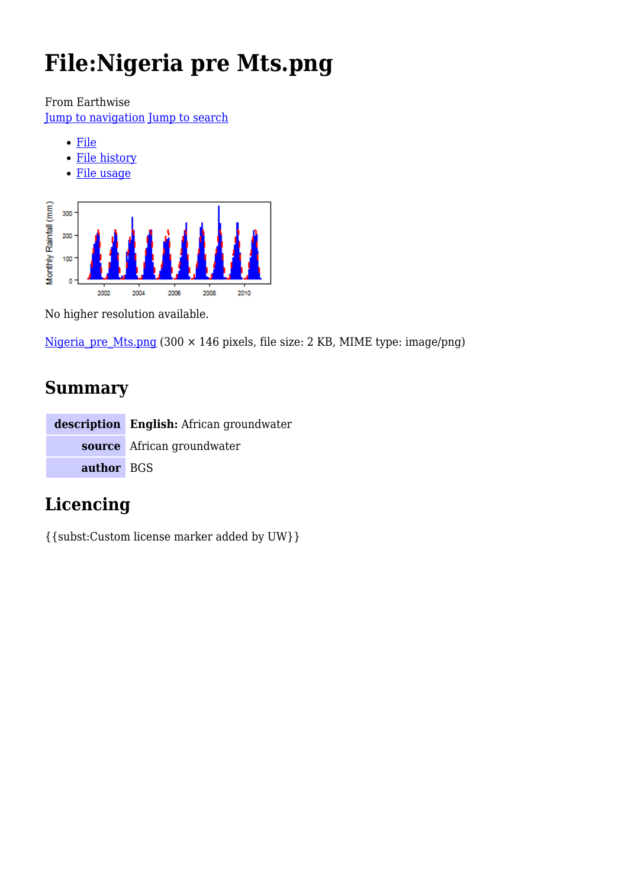# **File:Nigeria pre Mts.png**

From Earthwise

[Jump to navigation](#page--1-0) [Jump to search](#page--1-0)

- [File](#page--1-0)
- [File history](#page--1-0)
- [File usage](#page--1-0)



No higher resolution available.

Nigeria pre Mts.png (300 × 146 pixels, file size: 2 KB, MIME type: image/png)

# **Summary**

|            | description English: African groundwater |
|------------|------------------------------------------|
|            | source African groundwater               |
| author BGS |                                          |

# **Licencing**

{{subst:Custom license marker added by UW}}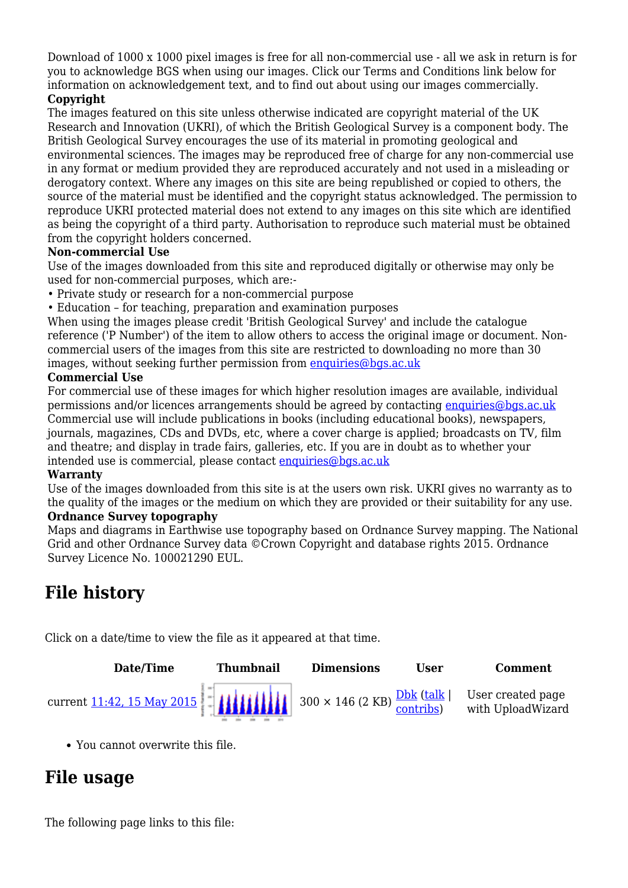Download of 1000 x 1000 pixel images is free for all non-commercial use - all we ask in return is for you to acknowledge BGS when using our images. Click our Terms and Conditions link below for information on acknowledgement text, and to find out about using our images commercially.

#### **Copyright**

The images featured on this site unless otherwise indicated are copyright material of the UK Research and Innovation (UKRI), of which the British Geological Survey is a component body. The British Geological Survey encourages the use of its material in promoting geological and environmental sciences. The images may be reproduced free of charge for any non-commercial use in any format or medium provided they are reproduced accurately and not used in a misleading or derogatory context. Where any images on this site are being republished or copied to others, the source of the material must be identified and the copyright status acknowledged. The permission to reproduce UKRI protected material does not extend to any images on this site which are identified as being the copyright of a third party. Authorisation to reproduce such material must be obtained from the copyright holders concerned.

#### **Non-commercial Use**

Use of the images downloaded from this site and reproduced digitally or otherwise may only be used for non-commercial purposes, which are:-

- Private study or research for a non-commercial purpose
- Education for teaching, preparation and examination purposes

When using the images please credit 'British Geological Survey' and include the catalogue reference ('P Number') of the item to allow others to access the original image or document. Noncommercial users of the images from this site are restricted to downloading no more than 30 images, without seeking further permission from [enquiries@bgs.ac.uk](mailto:enquiries@bgs.ac.uk)

#### **Commercial Use**

For commercial use of these images for which higher resolution images are available, individual permissions and/or licences arrangements should be agreed by contacting [enquiries@bgs.ac.uk](mailto:enquiries@bgs.ac.uk) Commercial use will include publications in books (including educational books), newspapers, journals, magazines, CDs and DVDs, etc, where a cover charge is applied; broadcasts on TV, film and theatre; and display in trade fairs, galleries, etc. If you are in doubt as to whether your intended use is commercial, please contact [enquiries@bgs.ac.uk](mailto:enquiries@bgs.ac.uk)

#### **Warranty**

Use of the images downloaded from this site is at the users own risk. UKRI gives no warranty as to the quality of the images or the medium on which they are provided or their suitability for any use. **Ordnance Survey topography**

Maps and diagrams in Earthwise use topography based on Ordnance Survey mapping. The National Grid and other Ordnance Survey data ©Crown Copyright and database rights 2015. Ordnance Survey Licence No. 100021290 EUL.

## **File history**

Click on a date/time to view the file as it appeared at that time.



You cannot overwrite this file.

## **File usage**

The following page links to this file: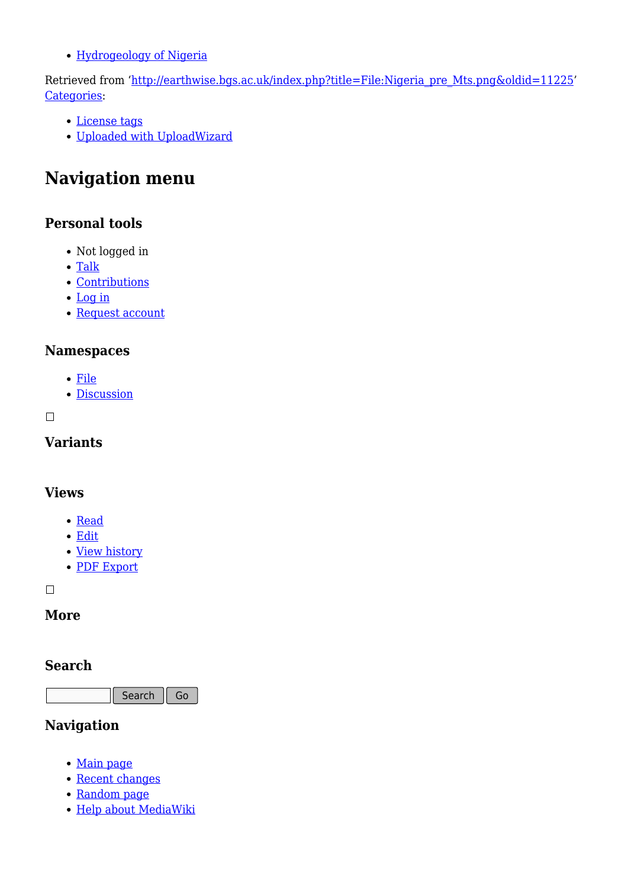[Hydrogeology of Nigeria](http://earthwise.bgs.ac.uk/index.php/Hydrogeology_of_Nigeria)

Retrieved from ['http://earthwise.bgs.ac.uk/index.php?title=File:Nigeria\\_pre\\_Mts.png&oldid=11225](http://earthwise.bgs.ac.uk/index.php?title=File:Nigeria_pre_Mts.png&oldid=11225)' [Categories:](http://earthwise.bgs.ac.uk/index.php/Special:Categories)

- [License tags](http://earthwise.bgs.ac.uk/index.php/Category:License_tags)
- [Uploaded with UploadWizard](http://earthwise.bgs.ac.uk/index.php/Category:Uploaded_with_UploadWizard)

# **Navigation menu**

### **Personal tools**

- Not logged in
- [Talk](http://earthwise.bgs.ac.uk/index.php/Special:MyTalk)
- [Contributions](http://earthwise.bgs.ac.uk/index.php/Special:MyContributions)
- [Log in](http://earthwise.bgs.ac.uk/index.php?title=Special:UserLogin&returnto=File%3ANigeria+pre+Mts.png&returntoquery=action%3Dmpdf)
- [Request account](http://earthwise.bgs.ac.uk/index.php/Special:RequestAccount)

### **Namespaces**

- [File](http://earthwise.bgs.ac.uk/index.php/File:Nigeria_pre_Mts.png)
- [Discussion](http://earthwise.bgs.ac.uk/index.php?title=File_talk:Nigeria_pre_Mts.png&action=edit&redlink=1)

 $\Box$ 

### **Variants**

### **Views**

- [Read](http://earthwise.bgs.ac.uk/index.php/File:Nigeria_pre_Mts.png)
- [Edit](http://earthwise.bgs.ac.uk/index.php?title=File:Nigeria_pre_Mts.png&action=edit)
- [View history](http://earthwise.bgs.ac.uk/index.php?title=File:Nigeria_pre_Mts.png&action=history)
- [PDF Export](http://earthwise.bgs.ac.uk/index.php?title=File:Nigeria_pre_Mts.png&action=mpdf)

 $\Box$ 

### **More**

### **Search**

Search  $\Big|$  Go

### **Navigation**

- [Main page](http://earthwise.bgs.ac.uk/index.php/Main_Page)
- [Recent changes](http://earthwise.bgs.ac.uk/index.php/Special:RecentChanges)
- [Random page](http://earthwise.bgs.ac.uk/index.php/Special:Random)
- [Help about MediaWiki](https://www.mediawiki.org/wiki/Special:MyLanguage/Help:Contents)